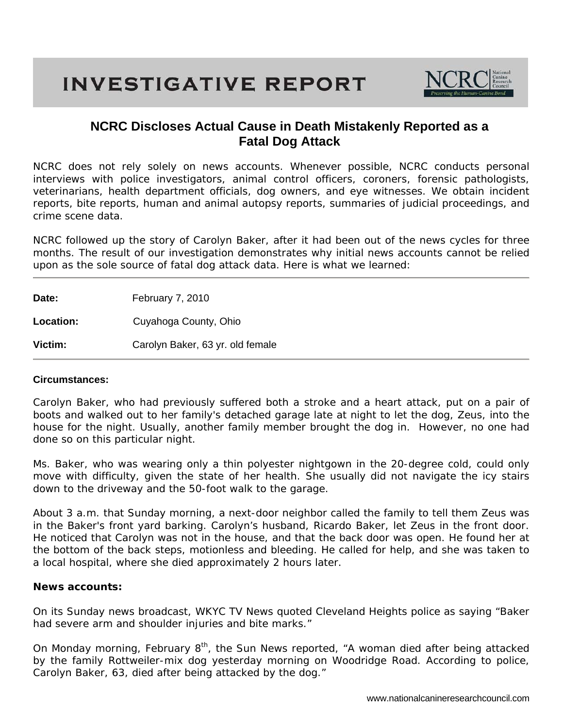## **INVESTIGATIVE REPORT**



### **NCRC Discloses Actual Cause in Death Mistakenly Reported as a Fatal Dog Attack**

NCRC does not rely solely on news accounts. Whenever possible, NCRC conducts personal interviews with police investigators, animal control officers, coroners, forensic pathologists, veterinarians, health department officials, dog owners, and eye witnesses. We obtain incident reports, bite reports, human and animal autopsy reports, summaries of judicial proceedings, and crime scene data.

NCRC followed up the story of Carolyn Baker, after it had been out of the news cycles for three months. The result of our investigation demonstrates why initial news accounts cannot be relied upon as the sole source of fatal dog attack data. Here is what we learned:

Date: February 7, 2010

**Location:** Cuyahoga County, Ohio

**Victim:** Carolyn Baker, 63 yr. old female

#### **Circumstances:**

Carolyn Baker, who had previously suffered both a stroke and a heart attack, put on a pair of boots and walked out to her family's detached garage late at night to let the dog, Zeus, into the house for the night. Usually, another family member brought the dog in. However, no one had done so on this particular night.

Ms. Baker, who was wearing only a thin polyester nightgown in the 20-degree cold, could only move with difficulty, given the state of her health. She usually did not navigate the icy stairs down to the driveway and the 50-foot walk to the garage.

About 3 a.m. that Sunday morning, a next-door neighbor called the family to tell them Zeus was in the Baker's front yard barking. Carolyn's husband, Ricardo Baker, let Zeus in the front door. He noticed that Carolyn was not in the house, and that the back door was open. He found her at the bottom of the back steps, motionless and bleeding. He called for help, and she was taken to a local hospital, where she died approximately 2 hours later.

#### **News accounts:**

On its Sunday news broadcast, *WKYC TV News* quoted Cleveland Heights police as saying "Baker had severe arm and shoulder injuries and bite marks."

On Monday morning, February 8<sup>th</sup>, the *Sun News* reported, "A woman died after being attacked by the family Rottweiler-mix dog yesterday morning on Woodridge Road. According to police, Carolyn Baker, 63, died after being attacked by the dog."